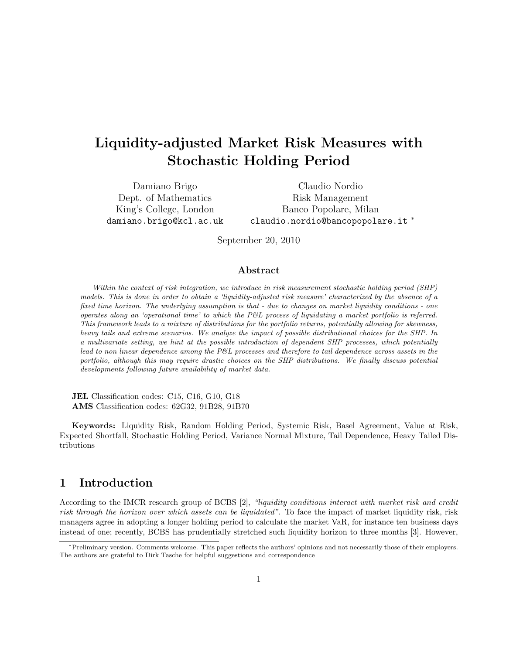# Liquidity-adjusted Market Risk Measures with Stochastic Holding Period

Damiano Brigo Dept. of Mathematics King's College, London damiano.brigo@kcl.ac.uk

Claudio Nordio Risk Management Banco Popolare, Milan claudio.nordio@bancopopolare.it <sup>∗</sup>

September 20, 2010

### Abstract

Within the context of risk integration, we introduce in risk measurement stochastic holding period (SHP) models. This is done in order to obtain a 'liquidity-adjusted risk measure' characterized by the absence of a fixed time horizon. The underlying assumption is that - due to changes on market liquidity conditions - one operates along an 'operational time' to which the P&L process of liquidating a market portfolio is referred. This framework leads to a mixture of distributions for the portfolio returns, potentially allowing for skewness, heavy tails and extreme scenarios. We analyze the impact of possible distributional choices for the SHP. In a multivariate setting, we hint at the possible introduction of dependent SHP processes, which potentially lead to non linear dependence among the P&L processes and therefore to tail dependence across assets in the portfolio, although this may require drastic choices on the SHP distributions. We finally discuss potential developments following future availability of market data.

JEL Classification codes: C15, C16, G10, G18 AMS Classification codes: 62G32, 91B28, 91B70

Keywords: Liquidity Risk, Random Holding Period, Systemic Risk, Basel Agreement, Value at Risk, Expected Shortfall, Stochastic Holding Period, Variance Normal Mixture, Tail Dependence, Heavy Tailed Distributions

# 1 Introduction

According to the IMCR research group of BCBS [2], "liquidity conditions interact with market risk and credit risk through the horizon over which assets can be liquidated". To face the impact of market liquidity risk, risk managers agree in adopting a longer holding period to calculate the market VaR, for instance ten business days instead of one; recently, BCBS has prudentially stretched such liquidity horizon to three months [3]. However,

<sup>∗</sup>Preliminary version. Comments welcome. This paper reflects the authors' opinions and not necessarily those of their employers. The authors are grateful to Dirk Tasche for helpful suggestions and correspondence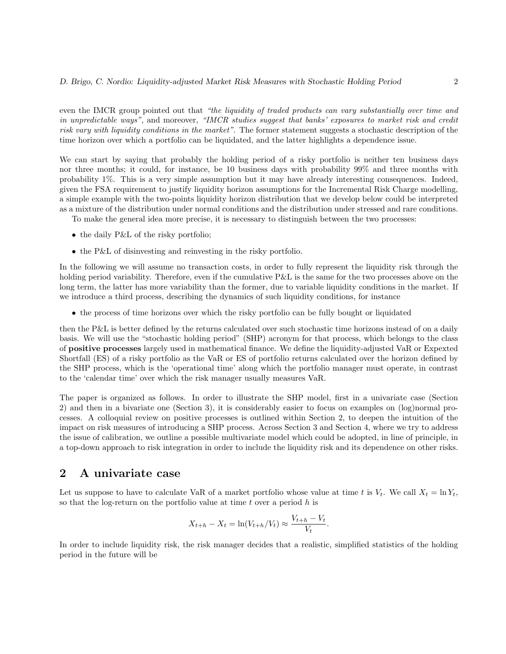even the IMCR group pointed out that "the liquidity of traded products can vary substantially over time and in unpredictable ways", and moreover, "IMCR studies suggest that banks' exposures to market risk and credit risk vary with liquidity conditions in the market". The former statement suggests a stochastic description of the time horizon over which a portfolio can be liquidated, and the latter highlights a dependence issue.

We can start by saying that probably the holding period of a risky portfolio is neither ten business days nor three months; it could, for instance, be 10 business days with probability 99% and three months with probability 1%. This is a very simple assumption but it may have already interesting consequences. Indeed, given the FSA requirement to justify liquidity horizon assumptions for the Incremental Risk Charge modelling, a simple example with the two-points liquidity horizon distribution that we develop below could be interpreted as a mixture of the distribution under normal conditions and the distribution under stressed and rare conditions.

To make the general idea more precise, it is necessary to distinguish between the two processes:

- the daily P&L of the risky portfolio;
- the P&L of disinvesting and reinvesting in the risky portfolio.

In the following we will assume no transaction costs, in order to fully represent the liquidity risk through the holding period variability. Therefore, even if the cumulative P&L is the same for the two processes above on the long term, the latter has more variability than the former, due to variable liquidity conditions in the market. If we introduce a third process, describing the dynamics of such liquidity conditions, for instance

• the process of time horizons over which the risky portfolio can be fully bought or liquidated

then the P&L is better defined by the returns calculated over such stochastic time horizons instead of on a daily basis. We will use the "stochastic holding period" (SHP) acronym for that process, which belongs to the class of positive processes largely used in mathematical finance. We define the liquidity-adjusted VaR or Expexted Shortfall (ES) of a risky portfolio as the VaR or ES of portfolio returns calculated over the horizon defined by the SHP process, which is the 'operational time' along which the portfolio manager must operate, in contrast to the 'calendar time' over which the risk manager usually measures VaR.

The paper is organized as follows. In order to illustrate the SHP model, first in a univariate case (Section 2) and then in a bivariate one (Section 3), it is considerably easier to focus on examples on (log)normal processes. A colloquial review on positive processes is outlined within Section 2, to deepen the intuition of the impact on risk measures of introducing a SHP process. Across Section 3 and Section 4, where we try to address the issue of calibration, we outline a possible multivariate model which could be adopted, in line of principle, in a top-down approach to risk integration in order to include the liquidity risk and its dependence on other risks.

### 2 A univariate case

Let us suppose to have to calculate VaR of a market portfolio whose value at time t is  $V_t$ . We call  $X_t = \ln Y_t$ , so that the log-return on the portfolio value at time  $t$  over a period  $h$  is

$$
X_{t+h} - X_t = \ln(V_{t+h}/V_t) \approx \frac{V_{t+h} - V_t}{V_t}.
$$

In order to include liquidity risk, the risk manager decides that a realistic, simplified statistics of the holding period in the future will be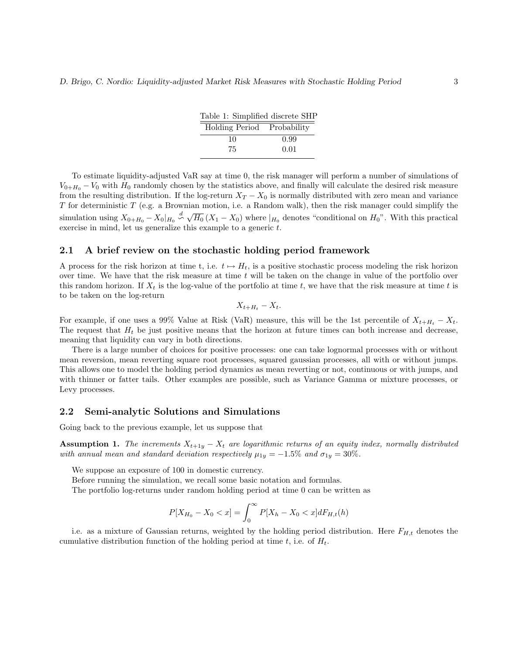| Table 1: Simplified discrete SHP |      |
|----------------------------------|------|
| Holding Period Probability       |      |
| 10                               | 0.99 |
| 75                               | 0.01 |
|                                  |      |

To estimate liquidity-adjusted VaR say at time 0, the risk manager will perform a number of simulations of  $V_{0+H_0} - V_0$  with  $H_0$  randomly chosen by the statistics above, and finally will calculate the desired risk measure from the resulting distribution. If the log-return  $X_T - X_0$  is normally distributed with zero mean and variance T for deterministic T (e.g. a Brownian motion, i.e. a Random walk), then the risk manager could simplify the simulation using  $X_{0+H_0} - X_0|_{H_0} \stackrel{d}{\sim} \sqrt{H_0} (X_1 - X_0)$  where  $|_{H_0}$  denotes "conditional on  $H_0$ ". With this practical exercise in mind, let us generalize this example to a generic  $t$ .

### 2.1 A brief review on the stochastic holding period framework

A process for the risk horizon at time t, i.e.  $t \mapsto H_t$ , is a positive stochastic process modeling the risk horizon over time. We have that the risk measure at time  $t$  will be taken on the change in value of the portfolio over this random horizon. If  $X_t$  is the log-value of the portfolio at time t, we have that the risk measure at time t is to be taken on the log-return

$$
X_{t+H_t} - X_t.
$$

For example, if one uses a 99% Value at Risk (VaR) measure, this will be the 1st percentile of  $X_{t+H_t} - X_t$ . The request that  $H_t$  be just positive means that the horizon at future times can both increase and decrease, meaning that liquidity can vary in both directions.

There is a large number of choices for positive processes: one can take lognormal processes with or without mean reversion, mean reverting square root processes, squared gaussian processes, all with or without jumps. This allows one to model the holding period dynamics as mean reverting or not, continuous or with jumps, and with thinner or fatter tails. Other examples are possible, such as Variance Gamma or mixture processes, or Levy processes.

#### 2.2 Semi-analytic Solutions and Simulations

Going back to the previous example, let us suppose that

**Assumption 1.** The increments  $X_{t+1y} - X_t$  are logarithmic returns of an equity index, normally distributed with annual mean and standard deviation respectively  $\mu_{1y} = -1.5\%$  and  $\sigma_{1y} = 30\%$ .

We suppose an exposure of 100 in domestic currency.

Before running the simulation, we recall some basic notation and formulas.

The portfolio log-returns under random holding period at time 0 can be written as

$$
P[X_{H_0} - X_0 < x] = \int_0^\infty P[X_h - X_0 < x] \, dF_{H,t}(h)
$$

i.e. as a mixture of Gaussian returns, weighted by the holding period distribution. Here  $F_{H,t}$  denotes the cumulative distribution function of the holding period at time  $t$ , i.e. of  $H_t$ .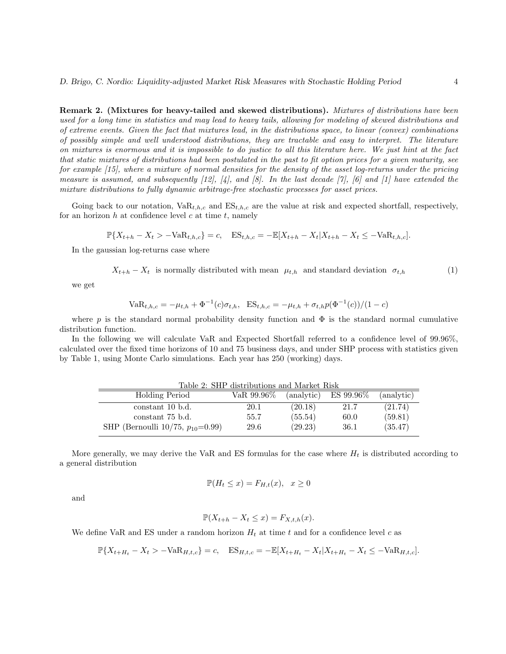Remark 2. (Mixtures for heavy-tailed and skewed distributions). Mixtures of distributions have been used for a long time in statistics and may lead to heavy tails, allowing for modeling of skewed distributions and of extreme events. Given the fact that mixtures lead, in the distributions space, to linear (convex) combinations of possibly simple and well understood distributions, they are tractable and easy to interpret. The literature on mixtures is enormous and it is impossible to do justice to all this literature here. We just hint at the fact that static mixtures of distributions had been postulated in the past to fit option prices for a given maturity, see for example [15], where a mixture of normal densities for the density of the asset log-returns under the pricing measure is assumed, and subsequently  $[12]$ ,  $[4]$ , and  $[8]$ . In the last decade  $[7]$ ,  $[6]$  and  $[1]$  have extended the mixture distributions to fully dynamic arbitrage-free stochastic processes for asset prices.

Going back to our notation,  $VaR_{t,h,c}$  and  $ES_{t,h,c}$  are the value at risk and expected shortfall, respectively, for an horizon  $h$  at confidence level  $c$  at time  $t$ , namely

$$
\mathbb{P}\{X_{t+h} - X_t > -\text{VaR}_{t,h,c}\} = c, \quad \text{ES}_{t,h,c} = -\mathbb{E}[X_{t+h} - X_t | X_{t+h} - X_t \le -\text{VaR}_{t,h,c}].
$$

In the gaussian log-returns case where

$$
X_{t+h} - X_t
$$
 is normally distributed with mean  $\mu_{t,h}$  and standard deviation  $\sigma_{t,h}$  (1)

we get

$$
VaR_{t,h,c} = -\mu_{t,h} + \Phi^{-1}(c)\sigma_{t,h}, \quad ES_{t,h,c} = -\mu_{t,h} + \sigma_{t,h}p(\Phi^{-1}(c))/(1-c)
$$

where p is the standard normal probability density function and  $\Phi$  is the standard normal cumulative distribution function.

In the following we will calculate VaR and Expected Shortfall referred to a confidence level of 99.96%, calculated over the fixed time horizons of 10 and 75 business days, and under SHP process with statistics given by Table 1, using Monte Carlo simulations. Each year has 250 (working) days.

| Table 2: SHP distributions and Market Risk |             |            |           |            |  |  |  |  |
|--------------------------------------------|-------------|------------|-----------|------------|--|--|--|--|
| Holding Period                             | VaR 99.96\% | (analytic) | ES 99.96% | (analytic) |  |  |  |  |
| constant 10 b.d.                           | 20.1        | (20.18)    | 21.7      | (21.74)    |  |  |  |  |
| constant 75 b.d.                           | 55.7        | (55.54)    | 60.0      | (59.81)    |  |  |  |  |
| SHP (Bernoulli $10/75$ , $p_{10} = 0.99$ ) | 29.6        | (29.23)    | 36.1      | (35.47)    |  |  |  |  |

More generally, we may derive the VaR and ES formulas for the case where  $H_t$  is distributed according to a general distribution

$$
\mathbb{P}(H_t \le x) = F_{H,t}(x), \quad x \ge 0
$$

and

$$
\mathbb{P}(X_{t+h} - X_t \leq x) = F_{X,t,h}(x).
$$

We define VaR and ES under a random horizon  $H_t$  at time t and for a confidence level c as

$$
\mathbb{P}\{X_{t+H_t} - X_t > -\text{VaR}_{H,t,c}\} = c, \quad \text{ES}_{H,t,c} = -\mathbb{E}[X_{t+H_t} - X_t | X_{t+H_t} - X_t \le -\text{VaR}_{H,t,c}].
$$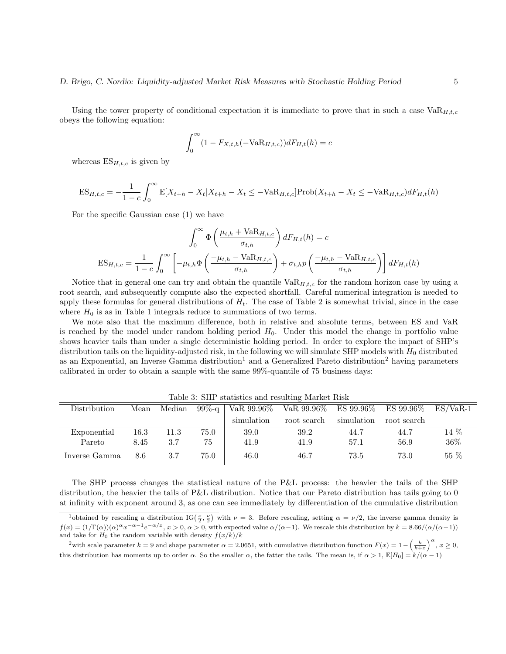Using the tower property of conditional expectation it is immediate to prove that in such a case  $VaR_{H,tc}$ obeys the following equation:

$$
\int_0^\infty (1 - F_{X,t,h}(-\text{VaR}_{H,t,c}))dF_{H,t}(h) = c
$$

whereas  $ES_{H,t,c}$  is given by

$$
ES_{H,t,c} = -\frac{1}{1-c} \int_0^{\infty} \mathbb{E}[X_{t+h} - X_t | X_{t+h} - X_t \le -\text{VaR}_{H,t,c}] \text{Prob}(X_{t+h} - X_t \le -\text{VaR}_{H,t,c}) dF_{H,t}(h)
$$

For the specific Gaussian case (1) we have

$$
\int_0^\infty \Phi\left(\frac{\mu_{t,h} + \text{VaR}_{H,t,c}}{\sigma_{t,h}}\right) dF_{H,t}(h) = c
$$
  
ES<sub>H,t,c</sub> =  $\frac{1}{1-c} \int_0^\infty \left[ -\mu_{t,h} \Phi\left(\frac{-\mu_{t,h} - \text{VaR}_{H,t,c}}{\sigma_{t,h}}\right) + \sigma_{t,h} p\left(\frac{-\mu_{t,h} - \text{VaR}_{H,t,c}}{\sigma_{t,h}}\right) \right] dF_{H,t}(h)$ 

Notice that in general one can try and obtain the quantile  $VaR<sub>H,t,c</sub>$  for the random horizon case by using a root search, and subsequently compute also the expected shortfall. Careful numerical integration is needed to apply these formulas for general distributions of  $H_t$ . The case of Table 2 is somewhat trivial, since in the case where  $H_0$  is as in Table 1 integrals reduce to summations of two terms.

We note also that the maximum difference, both in relative and absolute terms, between ES and VaR is reached by the model under random holding period  $H_0$ . Under this model the change in portfolio value shows heavier tails than under a single deterministic holding period. In order to explore the impact of SHP's distribution tails on the liquidity-adjusted risk, in the following we will simulate SHP models with  $H_0$  distributed as an Exponential, an Inverse Gamma distribution<sup>1</sup> and a Generalized Pareto distribution<sup>2</sup> having parameters calibrated in order to obtain a sample with the same 99%-quantile of 75 business days:

| Distribution  | Mean | Median | 99%-q $\vert$ | $\sqrt{\text{VaR } 99.96\%}$ | VaR 99.96\% ES 99.96\% ES 99.96\% |            |             | $ES/VaR-1$ |
|---------------|------|--------|---------------|------------------------------|-----------------------------------|------------|-------------|------------|
|               |      |        |               | simulation                   | root search                       | simulation | root search |            |
| Exponential   | 16.3 | 11.3   | 75.0          | 39.0                         | 39.2                              | 44.7       | 44.7        | $14\%$     |
| Pareto        | 8.45 | 3.7    | 75            | 41.9                         | 41.9                              | 57.1       | 56.9        | 36%        |
| Inverse Gamma | 8.6  | 3.7    | 75.0          | 46.0                         | 46.7                              | 73.5       | 73.0        | $55\%$     |

Table 3: SHP statistics and resulting Market Risk

The SHP process changes the statistical nature of the P&L process: the heavier the tails of the SHP distribution, the heavier the tails of P&L distribution. Notice that our Pareto distribution has tails going to 0 at infinity with exponent around 3, as one can see immediately by differentiation of the cumulative distribution

<sup>2</sup>with scale parameter k = 9 and shape parameter  $\alpha = 2.0651$ , with cumulative distribution function  $F(x) = 1 - \left(\frac{k}{k+x}\right)^{\alpha}, x \ge 0$ , this distribution has moments up to order  $\alpha$ . So the smaller  $\alpha$ , the fatter the tails. The mean is, if  $\alpha > 1$ ,  $\mathbb{E}[H_0] = k/(\alpha - 1)$ 

<sup>&</sup>lt;sup>1</sup>obtained by rescaling a distribution IG( $\frac{\nu}{2}$ ,  $\frac{\nu}{2}$ ) with  $\nu = 3$ . Before rescaling, setting  $\alpha = \nu/2$ , the inverse gamma density is  $f(x) = (1/\Gamma(\alpha))(\alpha)^{\alpha} x^{-\alpha-1} e^{-\alpha/x}, x > 0, \alpha > 0$ , with expected value  $\alpha/(\alpha-1)$ . We rescale this distribution by  $k = 8.66/(\alpha/(\alpha-1))$ and take for  $H_0$  the random variable with density  $f(x/k)/k$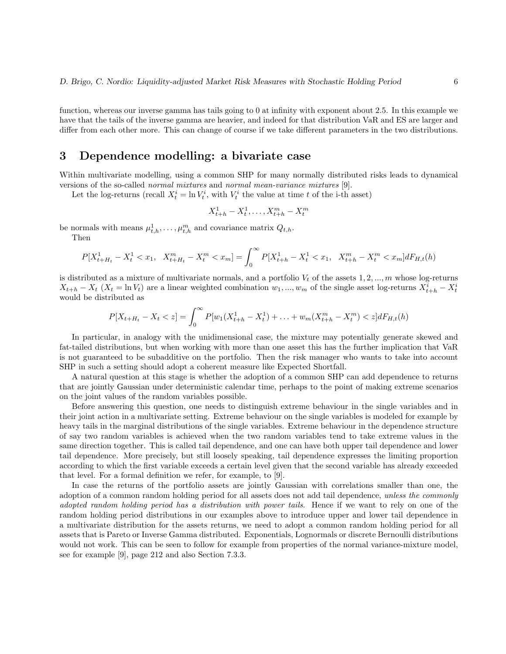function, whereas our inverse gamma has tails going to 0 at infinity with exponent about 2.5. In this example we have that the tails of the inverse gamma are heavier, and indeed for that distribution VaR and ES are larger and differ from each other more. This can change of course if we take different parameters in the two distributions.

### 3 Dependence modelling: a bivariate case

Within multivariate modelling, using a common SHP for many normally distributed risks leads to dynamical versions of the so-called normal mixtures and normal mean-variance mixtures [9].

Let the log-returns (recall  $X_t^i = \ln V_t^i$ , with  $V_t^i$  the value at time t of the i-th asset)

$$
X_{t+h}^1 - X_t^1, \dots, X_{t+h}^m - X_t^m
$$

be normals with means  $\mu_{t,h}^1, \ldots, \mu_{t,h}^m$  and covariance matrix  $Q_{t,h}$ .

Then

$$
P[X_{t+H_t}^1 - X_t^1 < x_1, \ X_{t+H_t}^m - X_t^m < x_m] = \int_0^\infty P[X_{t+h}^1 - X_t^1 < x_1, \ X_{t+h}^m - X_t^m < x_m] \, dF_{H,t}(h)
$$

is distributed as a mixture of multivariate normals, and a portfolio  $V_t$  of the assets  $1, 2, ..., m$  whose log-returns  $X_{t+h} - X_t$  ( $X_t = \ln V_t$ ) are a linear weighted combination  $w_1, ..., w_m$  of the single asset log-returns  $X_{t+h}^i - X_t^i$ would be distributed as

$$
P[X_{t+H_t} - X_t < z] = \int_0^\infty P[w_1(X_{t+h}^1 - X_t^1) + \dots + w_m(X_{t+h}^m - X_t^m) < z]dF_{H,t}(h)
$$

In particular, in analogy with the unidimensional case, the mixture may potentially generate skewed and fat-tailed distributions, but when working with more than one asset this has the further implication that VaR is not guaranteed to be subadditive on the portfolio. Then the risk manager who wants to take into account SHP in such a setting should adopt a coherent measure like Expected Shortfall.

A natural question at this stage is whether the adoption of a common SHP can add dependence to returns that are jointly Gaussian under deterministic calendar time, perhaps to the point of making extreme scenarios on the joint values of the random variables possible.

Before answering this question, one needs to distinguish extreme behaviour in the single variables and in their joint action in a multivariate setting. Extreme behaviour on the single variables is modeled for example by heavy tails in the marginal distributions of the single variables. Extreme behaviour in the dependence structure of say two random variables is achieved when the two random variables tend to take extreme values in the same direction together. This is called tail dependence, and one can have both upper tail dependence and lower tail dependence. More precisely, but still loosely speaking, tail dependence expresses the limiting proportion according to which the first variable exceeds a certain level given that the second variable has already exceeded that level. For a formal definition we refer, for example, to [9].

In case the returns of the portfolio assets are jointly Gaussian with correlations smaller than one, the adoption of a common random holding period for all assets does not add tail dependence, unless the commonly adopted random holding period has a distribution with power tails. Hence if we want to rely on one of the random holding period distributions in our examples above to introduce upper and lower tail dependence in a multivariate distribution for the assets returns, we need to adopt a common random holding period for all assets that is Pareto or Inverse Gamma distributed. Exponentials, Lognormals or discrete Bernoulli distributions would not work. This can be seen to follow for example from properties of the normal variance-mixture model, see for example [9], page 212 and also Section 7.3.3.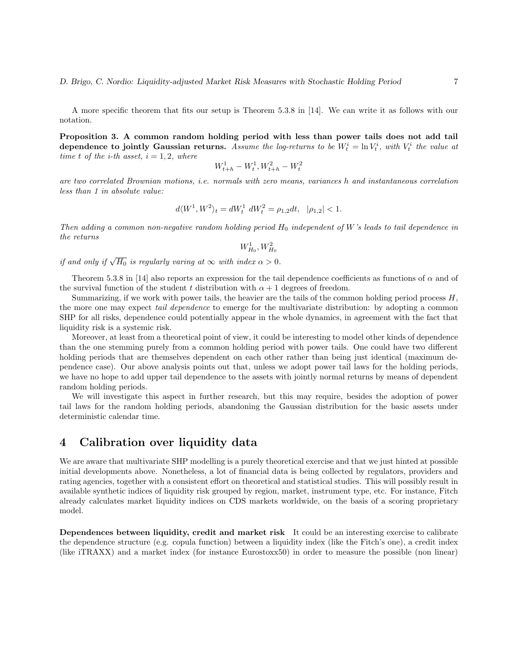D. Brigo, C. Nordio: Liquidity-adjusted Market Risk Measures with Stochastic Holding Period 7

A more specific theorem that fits our setup is Theorem 5.3.8 in [14]. We can write it as follows with our notation.

Proposition 3. A common random holding period with less than power tails does not add tail dependence to jointly Gaussian returns. Assume the log-returns to be  $W_t^i = \ln V_t^i$ , with  $V_t^i$  the value at time t of the *i*-th asset,  $i = 1, 2$ , where

$$
W_{t+h}^1 - W_t^1, W_{t+h}^2 - W_t^2
$$

are two correlated Brownian motions, i.e. normals with zero means, variances h and instantaneous correlation less than 1 in absolute value:

$$
d\langle W^1, W^2 \rangle_t = dW_t^1 \, dW_t^2 = \rho_{1,2} dt, \quad |\rho_{1,2}| < 1.
$$

Then adding a common non-negative random holding period  $H_0$  independent of W's leads to tail dependence in the returns

$$
\color{blue}W_{H_0}^1, W_{H_0}^2
$$

if and only if  $\sqrt{H_0}$  is regularly varing at  $\infty$  with index  $\alpha > 0$ .

Theorem 5.3.8 in [14] also reports an expression for the tail dependence coefficients as functions of  $\alpha$  and of the survival function of the student t distribution with  $\alpha + 1$  degrees of freedom.

Summarizing, if we work with power tails, the heavier are the tails of the common holding period process  $H$ , the more one may expect *tail dependence* to emerge for the multivariate distribution: by adopting a common SHP for all risks, dependence could potentially appear in the whole dynamics, in agreement with the fact that liquidity risk is a systemic risk.

Moreover, at least from a theoretical point of view, it could be interesting to model other kinds of dependence than the one stemming purely from a common holding period with power tails. One could have two different holding periods that are themselves dependent on each other rather than being just identical (maximum dependence case). Our above analysis points out that, unless we adopt power tail laws for the holding periods, we have no hope to add upper tail dependence to the assets with jointly normal returns by means of dependent random holding periods.

We will investigate this aspect in further research, but this may require, besides the adoption of power tail laws for the random holding periods, abandoning the Gaussian distribution for the basic assets under deterministic calendar time.

### 4 Calibration over liquidity data

We are aware that multivariate SHP modelling is a purely theoretical exercise and that we just hinted at possible initial developments above. Nonetheless, a lot of financial data is being collected by regulators, providers and rating agencies, together with a consistent effort on theoretical and statistical studies. This will possibly result in available synthetic indices of liquidity risk grouped by region, market, instrument type, etc. For instance, Fitch already calculates market liquidity indices on CDS markets worldwide, on the basis of a scoring proprietary model.

Dependences between liquidity, credit and market risk It could be an interesting exercise to calibrate the dependence structure (e.g. copula function) between a liquidity index (like the Fitch's one), a credit index (like iTRAXX) and a market index (for instance Eurostoxx50) in order to measure the possible (non linear)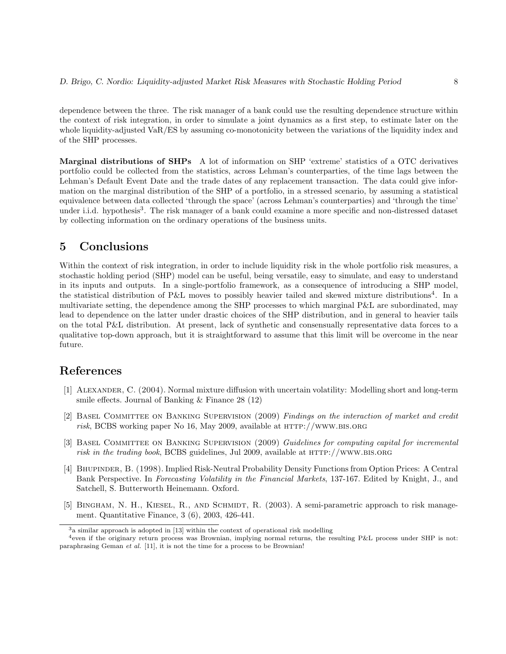dependence between the three. The risk manager of a bank could use the resulting dependence structure within the context of risk integration, in order to simulate a joint dynamics as a first step, to estimate later on the whole liquidity-adjusted VaR/ES by assuming co-monotonicity between the variations of the liquidity index and of the SHP processes.

Marginal distributions of SHPs A lot of information on SHP 'extreme' statistics of a OTC derivatives portfolio could be collected from the statistics, across Lehman's counterparties, of the time lags between the Lehman's Default Event Date and the trade dates of any replacement transaction. The data could give information on the marginal distribution of the SHP of a portfolio, in a stressed scenario, by assuming a statistical equivalence between data collected 'through the space' (across Lehman's counterparties) and 'through the time' under i.i.d. hypothesis<sup>3</sup>. The risk manager of a bank could examine a more specific and non-distressed dataset by collecting information on the ordinary operations of the business units.

# 5 Conclusions

Within the context of risk integration, in order to include liquidity risk in the whole portfolio risk measures, a stochastic holding period (SHP) model can be useful, being versatile, easy to simulate, and easy to understand in its inputs and outputs. In a single-portfolio framework, as a consequence of introducing a SHP model, the statistical distribution of P&L moves to possibly heavier tailed and skewed mixture distributions<sup>4</sup>. In a multivariate setting, the dependence among the SHP processes to which marginal P&L are subordinated, may lead to dependence on the latter under drastic choices of the SHP distribution, and in general to heavier tails on the total P&L distribution. At present, lack of synthetic and consensually representative data forces to a qualitative top-down approach, but it is straightforward to assume that this limit will be overcome in the near future.

### References

- [1] Alexander, C. (2004). Normal mixture diffusion with uncertain volatility: Modelling short and long-term smile effects. Journal of Banking & Finance 28 (12)
- [2] Basel Committee on Banking Supervision (2009) Findings on the interaction of market and credit risk, BCBS working paper No 16, May 2009, available at  $HTTP://WWW.BIS.ORG$
- [3] BASEL COMMITTEE ON BANKING SUPERVISION (2009) Guidelines for computing capital for incremental risk in the trading book, BCBS guidelines, Jul 2009, available at  $HTTP://www.BIS.ORG$
- [4] Bhupinder, B. (1998). Implied Risk-Neutral Probability Density Functions from Option Prices: A Central Bank Perspective. In Forecasting Volatility in the Financial Markets, 137-167. Edited by Knight, J., and Satchell, S. Butterworth Heinemann. Oxford.
- [5] BINGHAM, N. H., KIESEL, R., AND SCHMIDT, R. (2003). A semi-parametric approach to risk management. Quantitative Finance, 3 (6), 2003, 426-441.

<sup>&</sup>lt;sup>3</sup>a similar approach is adopted in [13] within the context of operational risk modelling

<sup>4</sup>even if the originary return process was Brownian, implying normal returns, the resulting P&L process under SHP is not: paraphrasing Geman et al. [11], it is not the time for a process to be Brownian!